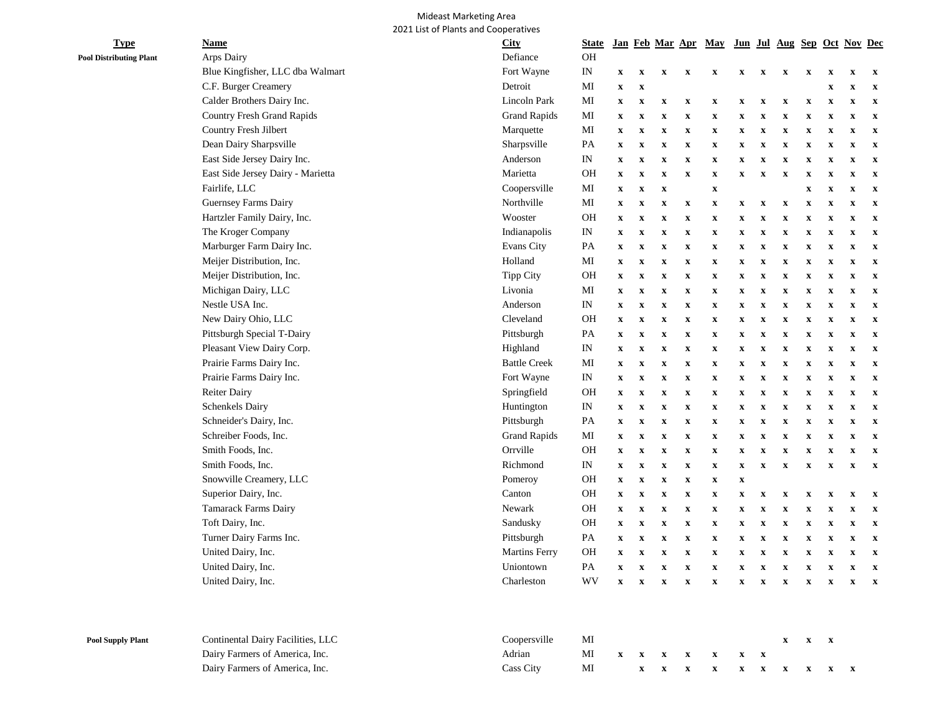## Mideast Marketing Area 2021 List of Plants and Cooperatives

| Arps Dairy<br>Blue Kingfisher, LLC dba Walmart<br>C.F. Burger Creamery<br>Calder Brothers Dairy Inc.<br><b>Country Fresh Grand Rapids</b><br>Country Fresh Jilbert<br>Dean Dairy Sharpsville<br>East Side Jersey Dairy Inc.<br>East Side Jersey Dairy - Marietta<br>Fairlife, LLC<br>Guernsey Farms Dairy<br>Hartzler Family Dairy, Inc.<br>The Kroger Company<br>Marburger Farm Dairy Inc.<br>Meijer Distribution, Inc.<br>Meijer Distribution, Inc.<br>Michigan Dairy, LLC | Defiance<br>Fort Wayne<br>Detroit<br>Lincoln Park<br><b>Grand Rapids</b><br>Marquette<br>Sharpsville<br>Anderson<br>Marietta<br>Coopersville<br>Northville<br>Wooster<br>Indianapolis<br>Evans City<br>Holland<br>Tipp City | OH<br>$\mathop{\rm IN}\nolimits$<br>MI<br>MI<br>МI<br>MI<br>PA<br>IN<br><b>OH</b><br>MI<br>МI<br><b>OH</b><br>IN<br>PA                                                                                  | $\boldsymbol{\mathrm{X}}$<br>$\boldsymbol{\mathrm{X}}$<br>$\boldsymbol{\mathrm{X}}$<br>$\boldsymbol{\mathrm{X}}$<br>$\boldsymbol{\mathrm{X}}$<br>$\boldsymbol{\mathrm{X}}$<br>$\boldsymbol{\mathrm{X}}$<br>$\boldsymbol{\mathrm{X}}$<br>$\boldsymbol{\mathrm{X}}$<br>$\mathbf X$<br>$\boldsymbol{\mathrm{X}}$<br>$\mathbf x$ | $\mathbf X$<br>$\boldsymbol{\mathrm{X}}$<br>$\boldsymbol{\mathrm{X}}$<br>$\mathbf x$<br>$\mathbf x$<br>$\boldsymbol{\mathrm{X}}$<br>$\mathbf X$<br>$\mathbf x$<br>$\mathbf x$<br>$\boldsymbol{\mathrm{X}}$<br>$\mathbf x$ | $\boldsymbol{\mathrm{X}}$<br>$\boldsymbol{\mathrm{X}}$<br>$\mathbf X$<br>$\mathbf X$<br>$\mathbf X$<br>$\mathbf X$<br>$\mathbf x$<br>$\mathbf X$<br>$\mathbf X$<br>$\mathbf X$ | $\boldsymbol{\mathrm{X}}$<br>$\mathbf X$<br>$\boldsymbol{\mathrm{X}}$<br>$\mathbf X$<br>$\mathbf X$<br>$\mathbf X$<br>$\mathbf X$<br>$\boldsymbol{\mathrm{X}}$ | $\boldsymbol{\mathrm{X}}$<br>$\mathbf X$<br>$\boldsymbol{\mathrm{X}}$<br>$\mathbf X$<br>$\mathbf X$<br>$\mathbf x$<br>$\mathbf X$<br>$\mathbf X$<br>$\boldsymbol{\mathrm{X}}$ | $\boldsymbol{\mathrm{X}}$<br>$\mathbf X$<br>$\boldsymbol{\mathrm{X}}$<br>$\mathbf x$<br>$\mathbf X$<br>$\mathbf X$<br>$\mathbf X$<br>$\boldsymbol{\mathrm{X}}$ | $\boldsymbol{\mathrm{X}}$<br>$\mathbf X$<br>$\boldsymbol{\mathrm{X}}$<br>$\boldsymbol{\mathrm{X}}$<br>$\boldsymbol{\mathrm{X}}$<br>$\boldsymbol{\mathrm{X}}$<br>$\mathbf x$ | X<br>$\mathbf X$<br>$\boldsymbol{\mathrm{X}}$<br>$\mathbf X$<br>$\mathbf X$<br>$\mathbf x$<br>$\mathbf x$ | $\mathbf X$<br>$\mathbf X$<br>$\mathbf X$<br>$\mathbf X$<br>$\mathbf X$<br>$\mathbf X$<br>$\mathbf X$<br>$\mathbf x$ | $\mathbf x$<br>$\boldsymbol{\mathrm{X}}$<br>$\mathbf x$<br>$\boldsymbol{\mathrm{X}}$<br>$\mathbf X$<br>$\boldsymbol{\mathrm{X}}$<br>$\mathbf X$<br>$\mathbf X$<br>$\mathbf X$ | $\mathbf x$<br>$\mathbf x$<br>$\mathbf x$<br>$\boldsymbol{\mathrm{X}}$<br>$\mathbf x$<br>$\mathbf x$<br>$\mathbf x$<br>$\mathbf x$<br>$\mathbf x$ | $\mathbf X$<br>$\mathbf x$<br>$\mathbf X$<br>$\boldsymbol{\mathrm{X}}$<br>$\mathbf x$<br>$\boldsymbol{\mathrm{X}}$<br>$\mathbf X$<br>$\mathbf x$ |
|------------------------------------------------------------------------------------------------------------------------------------------------------------------------------------------------------------------------------------------------------------------------------------------------------------------------------------------------------------------------------------------------------------------------------------------------------------------------------|-----------------------------------------------------------------------------------------------------------------------------------------------------------------------------------------------------------------------------|---------------------------------------------------------------------------------------------------------------------------------------------------------------------------------------------------------|------------------------------------------------------------------------------------------------------------------------------------------------------------------------------------------------------------------------------------------------------------------------------------------------------------------------------|---------------------------------------------------------------------------------------------------------------------------------------------------------------------------------------------------------------------------|--------------------------------------------------------------------------------------------------------------------------------------------------------------------------------|----------------------------------------------------------------------------------------------------------------------------------------------------------------|-------------------------------------------------------------------------------------------------------------------------------------------------------------------------------|----------------------------------------------------------------------------------------------------------------------------------------------------------------|-----------------------------------------------------------------------------------------------------------------------------------------------------------------------------|-----------------------------------------------------------------------------------------------------------|----------------------------------------------------------------------------------------------------------------------|-------------------------------------------------------------------------------------------------------------------------------------------------------------------------------|---------------------------------------------------------------------------------------------------------------------------------------------------|--------------------------------------------------------------------------------------------------------------------------------------------------|
|                                                                                                                                                                                                                                                                                                                                                                                                                                                                              |                                                                                                                                                                                                                             |                                                                                                                                                                                                         |                                                                                                                                                                                                                                                                                                                              |                                                                                                                                                                                                                           |                                                                                                                                                                                |                                                                                                                                                                |                                                                                                                                                                               |                                                                                                                                                                |                                                                                                                                                                             |                                                                                                           |                                                                                                                      |                                                                                                                                                                               |                                                                                                                                                   |                                                                                                                                                  |
|                                                                                                                                                                                                                                                                                                                                                                                                                                                                              |                                                                                                                                                                                                                             |                                                                                                                                                                                                         |                                                                                                                                                                                                                                                                                                                              |                                                                                                                                                                                                                           |                                                                                                                                                                                |                                                                                                                                                                |                                                                                                                                                                               |                                                                                                                                                                |                                                                                                                                                                             |                                                                                                           |                                                                                                                      |                                                                                                                                                                               |                                                                                                                                                   |                                                                                                                                                  |
|                                                                                                                                                                                                                                                                                                                                                                                                                                                                              |                                                                                                                                                                                                                             |                                                                                                                                                                                                         |                                                                                                                                                                                                                                                                                                                              |                                                                                                                                                                                                                           |                                                                                                                                                                                |                                                                                                                                                                |                                                                                                                                                                               |                                                                                                                                                                |                                                                                                                                                                             |                                                                                                           |                                                                                                                      |                                                                                                                                                                               |                                                                                                                                                   |                                                                                                                                                  |
|                                                                                                                                                                                                                                                                                                                                                                                                                                                                              |                                                                                                                                                                                                                             |                                                                                                                                                                                                         |                                                                                                                                                                                                                                                                                                                              |                                                                                                                                                                                                                           |                                                                                                                                                                                |                                                                                                                                                                |                                                                                                                                                                               |                                                                                                                                                                |                                                                                                                                                                             |                                                                                                           |                                                                                                                      |                                                                                                                                                                               |                                                                                                                                                   |                                                                                                                                                  |
|                                                                                                                                                                                                                                                                                                                                                                                                                                                                              |                                                                                                                                                                                                                             |                                                                                                                                                                                                         |                                                                                                                                                                                                                                                                                                                              |                                                                                                                                                                                                                           |                                                                                                                                                                                |                                                                                                                                                                |                                                                                                                                                                               |                                                                                                                                                                |                                                                                                                                                                             |                                                                                                           |                                                                                                                      |                                                                                                                                                                               |                                                                                                                                                   |                                                                                                                                                  |
|                                                                                                                                                                                                                                                                                                                                                                                                                                                                              |                                                                                                                                                                                                                             |                                                                                                                                                                                                         |                                                                                                                                                                                                                                                                                                                              |                                                                                                                                                                                                                           |                                                                                                                                                                                |                                                                                                                                                                |                                                                                                                                                                               |                                                                                                                                                                |                                                                                                                                                                             |                                                                                                           |                                                                                                                      |                                                                                                                                                                               |                                                                                                                                                   |                                                                                                                                                  |
|                                                                                                                                                                                                                                                                                                                                                                                                                                                                              |                                                                                                                                                                                                                             |                                                                                                                                                                                                         |                                                                                                                                                                                                                                                                                                                              |                                                                                                                                                                                                                           |                                                                                                                                                                                |                                                                                                                                                                |                                                                                                                                                                               |                                                                                                                                                                |                                                                                                                                                                             |                                                                                                           |                                                                                                                      |                                                                                                                                                                               |                                                                                                                                                   |                                                                                                                                                  |
|                                                                                                                                                                                                                                                                                                                                                                                                                                                                              |                                                                                                                                                                                                                             |                                                                                                                                                                                                         |                                                                                                                                                                                                                                                                                                                              |                                                                                                                                                                                                                           |                                                                                                                                                                                |                                                                                                                                                                |                                                                                                                                                                               |                                                                                                                                                                |                                                                                                                                                                             |                                                                                                           |                                                                                                                      |                                                                                                                                                                               |                                                                                                                                                   |                                                                                                                                                  |
|                                                                                                                                                                                                                                                                                                                                                                                                                                                                              |                                                                                                                                                                                                                             |                                                                                                                                                                                                         |                                                                                                                                                                                                                                                                                                                              |                                                                                                                                                                                                                           |                                                                                                                                                                                |                                                                                                                                                                |                                                                                                                                                                               |                                                                                                                                                                |                                                                                                                                                                             |                                                                                                           |                                                                                                                      |                                                                                                                                                                               |                                                                                                                                                   |                                                                                                                                                  |
|                                                                                                                                                                                                                                                                                                                                                                                                                                                                              |                                                                                                                                                                                                                             |                                                                                                                                                                                                         |                                                                                                                                                                                                                                                                                                                              |                                                                                                                                                                                                                           |                                                                                                                                                                                |                                                                                                                                                                |                                                                                                                                                                               |                                                                                                                                                                |                                                                                                                                                                             |                                                                                                           |                                                                                                                      |                                                                                                                                                                               |                                                                                                                                                   | $\boldsymbol{\mathrm{X}}$                                                                                                                        |
|                                                                                                                                                                                                                                                                                                                                                                                                                                                                              |                                                                                                                                                                                                                             |                                                                                                                                                                                                         |                                                                                                                                                                                                                                                                                                                              |                                                                                                                                                                                                                           |                                                                                                                                                                                |                                                                                                                                                                |                                                                                                                                                                               |                                                                                                                                                                | $\boldsymbol{\mathrm{x}}$                                                                                                                                                   | $\boldsymbol{\mathrm{X}}$                                                                                 | $\mathbf X$                                                                                                          | $\mathbf X$                                                                                                                                                                   | $\boldsymbol{\mathrm{X}}$                                                                                                                         | $\boldsymbol{\mathrm{x}}$                                                                                                                        |
|                                                                                                                                                                                                                                                                                                                                                                                                                                                                              |                                                                                                                                                                                                                             |                                                                                                                                                                                                         |                                                                                                                                                                                                                                                                                                                              |                                                                                                                                                                                                                           |                                                                                                                                                                                | $\boldsymbol{\mathrm{X}}$                                                                                                                                      | $\boldsymbol{\mathrm{X}}$                                                                                                                                                     | $\boldsymbol{\mathrm{X}}$                                                                                                                                      | $\boldsymbol{\mathrm{X}}$                                                                                                                                                   | $\mathbf X$                                                                                               | $\mathbf X$                                                                                                          | $\mathbf X$                                                                                                                                                                   | $\boldsymbol{\mathrm{X}}$                                                                                                                         | $\boldsymbol{\mathrm{X}}$                                                                                                                        |
|                                                                                                                                                                                                                                                                                                                                                                                                                                                                              |                                                                                                                                                                                                                             |                                                                                                                                                                                                         |                                                                                                                                                                                                                                                                                                                              | $\mathbf X$                                                                                                                                                                                                               | $\boldsymbol{\mathrm{X}}$                                                                                                                                                      | $\boldsymbol{\mathrm{X}}$                                                                                                                                      | $\boldsymbol{\mathrm{X}}$                                                                                                                                                     | $\mathbf X$                                                                                                                                                    | X                                                                                                                                                                           | $\boldsymbol{\mathrm{X}}$                                                                                 | $\mathbf X$                                                                                                          | $\mathbf x$                                                                                                                                                                   | $\boldsymbol{\mathrm{X}}$                                                                                                                         | $\boldsymbol{\mathrm{X}}$                                                                                                                        |
|                                                                                                                                                                                                                                                                                                                                                                                                                                                                              |                                                                                                                                                                                                                             |                                                                                                                                                                                                         | $\boldsymbol{\mathrm{X}}$                                                                                                                                                                                                                                                                                                    | $\mathbf x$                                                                                                                                                                                                               | $\boldsymbol{\mathrm{X}}$                                                                                                                                                      | $\boldsymbol{\mathrm{X}}$                                                                                                                                      | $\mathbf X$                                                                                                                                                                   | $\mathbf X$                                                                                                                                                    | x                                                                                                                                                                           | $\boldsymbol{\mathrm{X}}$                                                                                 | $\mathbf X$                                                                                                          | $\mathbf x$                                                                                                                                                                   | $\boldsymbol{\mathrm{X}}$                                                                                                                         | $\boldsymbol{\mathrm{X}}$                                                                                                                        |
|                                                                                                                                                                                                                                                                                                                                                                                                                                                                              |                                                                                                                                                                                                                             | MI                                                                                                                                                                                                      | $\mathbf x$                                                                                                                                                                                                                                                                                                                  | $\mathbf X$                                                                                                                                                                                                               | $\boldsymbol{\mathrm{X}}$                                                                                                                                                      | $\boldsymbol{\mathrm{X}}$                                                                                                                                      | $\mathbf X$                                                                                                                                                                   | X                                                                                                                                                              | x                                                                                                                                                                           | $\boldsymbol{\mathrm{X}}$                                                                                 | $\mathbf X$                                                                                                          | $\boldsymbol{\mathrm{X}}$                                                                                                                                                     | $\boldsymbol{\mathrm{X}}$                                                                                                                         | $\boldsymbol{\mathrm{X}}$                                                                                                                        |
|                                                                                                                                                                                                                                                                                                                                                                                                                                                                              |                                                                                                                                                                                                                             | OH                                                                                                                                                                                                      | $\boldsymbol{\mathrm{X}}$                                                                                                                                                                                                                                                                                                    | $\boldsymbol{\mathrm{X}}$                                                                                                                                                                                                 | $\mathbf X$                                                                                                                                                                    | $\mathbf X$                                                                                                                                                    | $\mathbf x$                                                                                                                                                                   | X                                                                                                                                                              | $\mathbf{x}$                                                                                                                                                                | X                                                                                                         | $\mathbf X$                                                                                                          | $\mathbf x$                                                                                                                                                                   | $\mathbf x$                                                                                                                                       | $\mathbf x$                                                                                                                                      |
|                                                                                                                                                                                                                                                                                                                                                                                                                                                                              | Livonia                                                                                                                                                                                                                     | MI                                                                                                                                                                                                      | $\boldsymbol{\mathrm{X}}$                                                                                                                                                                                                                                                                                                    | $\mathbf X$                                                                                                                                                                                                               | $\mathbf X$                                                                                                                                                                    | $\mathbf X$                                                                                                                                                    | $\mathbf X$                                                                                                                                                                   | $\mathbf X$                                                                                                                                                    | $\boldsymbol{\mathrm{X}}$                                                                                                                                                   | $\mathbf x$                                                                                               | $\mathbf X$                                                                                                          | $\mathbf X$                                                                                                                                                                   | $\mathbf x$                                                                                                                                       | $\mathbf x$                                                                                                                                      |
| Nestle USA Inc.                                                                                                                                                                                                                                                                                                                                                                                                                                                              | Anderson                                                                                                                                                                                                                    | IN                                                                                                                                                                                                      | $\boldsymbol{\mathrm{X}}$                                                                                                                                                                                                                                                                                                    | $\boldsymbol{\mathrm{X}}$                                                                                                                                                                                                 | $\mathbf X$                                                                                                                                                                    | $\boldsymbol{\mathrm{X}}$                                                                                                                                      | $\mathbf X$                                                                                                                                                                   | $\mathbf X$                                                                                                                                                    | $\mathbf X$                                                                                                                                                                 | $\mathbf X$                                                                                               | $\mathbf x$                                                                                                          | $\mathbf x$                                                                                                                                                                   | $\mathbf x$                                                                                                                                       | $\mathbf x$                                                                                                                                      |
| New Dairy Ohio, LLC                                                                                                                                                                                                                                                                                                                                                                                                                                                          |                                                                                                                                                                                                                             | OH                                                                                                                                                                                                      | $\boldsymbol{\mathrm{X}}$                                                                                                                                                                                                                                                                                                    | $\boldsymbol{\mathrm{x}}$                                                                                                                                                                                                 | $\mathbf X$                                                                                                                                                                    | $\boldsymbol{\mathrm{X}}$                                                                                                                                      | $\mathbf X$                                                                                                                                                                   | $\mathbf X$                                                                                                                                                    | $\mathbf X$                                                                                                                                                                 | $\boldsymbol{\mathrm{X}}$                                                                                 | $\mathbf X$                                                                                                          | $\mathbf X$                                                                                                                                                                   | $\mathbf x$                                                                                                                                       | $\boldsymbol{\mathrm{X}}$                                                                                                                        |
|                                                                                                                                                                                                                                                                                                                                                                                                                                                                              |                                                                                                                                                                                                                             | PA                                                                                                                                                                                                      | $\boldsymbol{\mathrm{X}}$                                                                                                                                                                                                                                                                                                    | $\boldsymbol{\mathrm{X}}$                                                                                                                                                                                                 | $\mathbf X$                                                                                                                                                                    | $\mathbf X$                                                                                                                                                    | $\boldsymbol{\mathrm{X}}$                                                                                                                                                     | $\mathbf X$                                                                                                                                                    | $\mathbf X$                                                                                                                                                                 | $\mathbf X$                                                                                               | $\mathbf X$                                                                                                          | $\mathbf X$                                                                                                                                                                   | $\mathbf x$                                                                                                                                       | $\boldsymbol{\mathrm{X}}$                                                                                                                        |
| Pleasant View Dairy Corp.                                                                                                                                                                                                                                                                                                                                                                                                                                                    |                                                                                                                                                                                                                             | IN                                                                                                                                                                                                      | $\boldsymbol{\mathrm{X}}$                                                                                                                                                                                                                                                                                                    | $\boldsymbol{\mathrm{X}}$                                                                                                                                                                                                 | $\boldsymbol{\mathrm{X}}$                                                                                                                                                      | $\mathbf X$                                                                                                                                                    | $\mathbf X$                                                                                                                                                                   | $\boldsymbol{\mathrm{X}}$                                                                                                                                      | $\boldsymbol{\mathrm{X}}$                                                                                                                                                   | $\boldsymbol{\mathrm{X}}$                                                                                 | $\mathbf X$                                                                                                          | $\mathbf X$                                                                                                                                                                   | $\mathbf x$                                                                                                                                       | $\boldsymbol{\mathrm{X}}$                                                                                                                        |
| Prairie Farms Dairy Inc.                                                                                                                                                                                                                                                                                                                                                                                                                                                     | <b>Battle Creek</b>                                                                                                                                                                                                         | МI                                                                                                                                                                                                      | $\boldsymbol{\mathrm{X}}$                                                                                                                                                                                                                                                                                                    | $\mathbf x$                                                                                                                                                                                                               | $\mathbf X$                                                                                                                                                                    | $\mathbf X$                                                                                                                                                    | $\mathbf x$                                                                                                                                                                   | $\mathbf x$                                                                                                                                                    | $\mathbf X$                                                                                                                                                                 | $\mathbf X$                                                                                               | $\mathbf x$                                                                                                          | $\mathbf x$                                                                                                                                                                   | $\mathbf x$                                                                                                                                       | $\mathbf X$                                                                                                                                      |
| Prairie Farms Dairy Inc.                                                                                                                                                                                                                                                                                                                                                                                                                                                     |                                                                                                                                                                                                                             | $\ensuremath{\text{IN}}\xspace$                                                                                                                                                                         | $\boldsymbol{\mathrm{X}}$                                                                                                                                                                                                                                                                                                    | $\mathbf x$                                                                                                                                                                                                               | $\mathbf X$                                                                                                                                                                    | $\mathbf X$                                                                                                                                                    | $\mathbf x$                                                                                                                                                                   | $\mathbf X$                                                                                                                                                    | $\mathbf X$                                                                                                                                                                 | $\mathbf X$                                                                                               | $\mathbf X$                                                                                                          | $\mathbf X$                                                                                                                                                                   | $\mathbf x$                                                                                                                                       | $\mathbf x$                                                                                                                                      |
| <b>Reiter Dairy</b>                                                                                                                                                                                                                                                                                                                                                                                                                                                          |                                                                                                                                                                                                                             | <b>OH</b>                                                                                                                                                                                               | $\boldsymbol{\mathrm{X}}$                                                                                                                                                                                                                                                                                                    | $\mathbf x$                                                                                                                                                                                                               | $\mathbf X$                                                                                                                                                                    | $\mathbf X$                                                                                                                                                    | $\mathbf X$                                                                                                                                                                   | $\mathbf X$                                                                                                                                                    | $\mathbf X$                                                                                                                                                                 | $\mathbf X$                                                                                               | $\mathbf X$                                                                                                          | $\boldsymbol{\mathrm{X}}$                                                                                                                                                     | $\mathbf x$                                                                                                                                       | $\boldsymbol{\mathrm{X}}$                                                                                                                        |
| Schenkels Dairy                                                                                                                                                                                                                                                                                                                                                                                                                                                              |                                                                                                                                                                                                                             | IN                                                                                                                                                                                                      | $\boldsymbol{\mathrm{X}}$                                                                                                                                                                                                                                                                                                    | $\mathbf X$                                                                                                                                                                                                               | $\mathbf X$                                                                                                                                                                    | $\mathbf X$                                                                                                                                                    | $\mathbf x$                                                                                                                                                                   | $\mathbf X$                                                                                                                                                    | $\boldsymbol{\mathrm{X}}$                                                                                                                                                   | $\mathbf x$                                                                                               | $\mathbf X$                                                                                                          | $\mathbf X$                                                                                                                                                                   | $\mathbf x$                                                                                                                                       | $\mathbf x$                                                                                                                                      |
| Schneider's Dairy, Inc.                                                                                                                                                                                                                                                                                                                                                                                                                                                      |                                                                                                                                                                                                                             | PA                                                                                                                                                                                                      | $\boldsymbol{\mathrm{X}}$                                                                                                                                                                                                                                                                                                    | $\mathbf x$                                                                                                                                                                                                               | $\mathbf X$                                                                                                                                                                    | $\boldsymbol{\mathrm{X}}$                                                                                                                                      | $\mathbf X$                                                                                                                                                                   | $\mathbf X$                                                                                                                                                    | X                                                                                                                                                                           | $\mathbf X$                                                                                               | $\mathbf X$                                                                                                          | $\mathbf X$                                                                                                                                                                   | $\mathbf x$                                                                                                                                       | $\boldsymbol{\mathrm{X}}$                                                                                                                        |
| Schreiber Foods, Inc.                                                                                                                                                                                                                                                                                                                                                                                                                                                        |                                                                                                                                                                                                                             | MI                                                                                                                                                                                                      | $\mathbf X$                                                                                                                                                                                                                                                                                                                  | $\mathbf X$                                                                                                                                                                                                               | $\boldsymbol{\mathrm{X}}$                                                                                                                                                      | $\boldsymbol{\mathrm{X}}$                                                                                                                                      | $\boldsymbol{\mathrm{X}}$                                                                                                                                                     | $\mathbf X$                                                                                                                                                    | $\boldsymbol{\mathrm{X}}$                                                                                                                                                   | $\boldsymbol{\mathrm{X}}$                                                                                 | $\mathbf X$                                                                                                          | $\mathbf X$                                                                                                                                                                   | $\mathbf x$                                                                                                                                       | $\boldsymbol{\mathrm{x}}$                                                                                                                        |
| Smith Foods, Inc.                                                                                                                                                                                                                                                                                                                                                                                                                                                            | Orrville                                                                                                                                                                                                                    | OH                                                                                                                                                                                                      | $\mathbf x$                                                                                                                                                                                                                                                                                                                  | $\mathbf x$                                                                                                                                                                                                               | $\boldsymbol{\mathrm{X}}$                                                                                                                                                      | $\boldsymbol{\mathrm{X}}$                                                                                                                                      | $\mathbf X$                                                                                                                                                                   | $\mathbf X$                                                                                                                                                    | $\boldsymbol{\mathrm{X}}$                                                                                                                                                   | $\boldsymbol{\mathrm{X}}$                                                                                 | $\mathbf X$                                                                                                          | $\mathbf x$                                                                                                                                                                   | $\boldsymbol{\mathrm{X}}$                                                                                                                         | $\boldsymbol{\mathrm{X}}$                                                                                                                        |
| Smith Foods, Inc.                                                                                                                                                                                                                                                                                                                                                                                                                                                            |                                                                                                                                                                                                                             | IN                                                                                                                                                                                                      | $\boldsymbol{\mathrm{X}}$                                                                                                                                                                                                                                                                                                    | $\mathbf X$                                                                                                                                                                                                               | $\mathbf X$                                                                                                                                                                    | $\mathbf X$                                                                                                                                                    | $\mathbf X$                                                                                                                                                                   | $\mathbf X$                                                                                                                                                    | $\mathbf X$                                                                                                                                                                 | $\boldsymbol{\mathrm{X}}$                                                                                 | $\mathbf X$                                                                                                          | $\mathbf X$                                                                                                                                                                   | $\mathbf X$                                                                                                                                       | $\mathbf{x}$                                                                                                                                     |
| Snowville Creamery, LLC                                                                                                                                                                                                                                                                                                                                                                                                                                                      |                                                                                                                                                                                                                             | OH                                                                                                                                                                                                      | $\boldsymbol{\mathrm{X}}$                                                                                                                                                                                                                                                                                                    | $\mathbf X$                                                                                                                                                                                                               | $\mathbf X$                                                                                                                                                                    | $\mathbf X$                                                                                                                                                    | $\mathbf X$                                                                                                                                                                   | $\boldsymbol{\mathrm{X}}$                                                                                                                                      |                                                                                                                                                                             |                                                                                                           |                                                                                                                      |                                                                                                                                                                               |                                                                                                                                                   |                                                                                                                                                  |
| Superior Dairy, Inc.                                                                                                                                                                                                                                                                                                                                                                                                                                                         | Canton                                                                                                                                                                                                                      | OH                                                                                                                                                                                                      | $\boldsymbol{\mathrm{X}}$                                                                                                                                                                                                                                                                                                    | $\mathbf X$                                                                                                                                                                                                               | $\mathbf X$                                                                                                                                                                    | $\mathbf X$                                                                                                                                                    | $\mathbf X$                                                                                                                                                                   | $\mathbf X$                                                                                                                                                    | $\boldsymbol{\mathrm{X}}$                                                                                                                                                   | $\mathbf X$                                                                                               | $\mathbf X$                                                                                                          | $\mathbf X$                                                                                                                                                                   | $\mathbf x$                                                                                                                                       | $\mathbf x$                                                                                                                                      |
| Tamarack Farms Dairy                                                                                                                                                                                                                                                                                                                                                                                                                                                         |                                                                                                                                                                                                                             | OH                                                                                                                                                                                                      | $\boldsymbol{\mathrm{X}}$                                                                                                                                                                                                                                                                                                    | $\mathbf X$                                                                                                                                                                                                               | $\mathbf X$                                                                                                                                                                    | $\mathbf X$                                                                                                                                                    | $\mathbf X$                                                                                                                                                                   | $\boldsymbol{\mathrm{X}}$                                                                                                                                      | $\mathbf x$                                                                                                                                                                 | X                                                                                                         | $\mathbf X$                                                                                                          | $\mathbf x$                                                                                                                                                                   | $\mathbf x$                                                                                                                                       | $\boldsymbol{\mathrm{X}}$                                                                                                                        |
| Toft Dairy, Inc.                                                                                                                                                                                                                                                                                                                                                                                                                                                             | Sandusky                                                                                                                                                                                                                    | OH                                                                                                                                                                                                      | $\boldsymbol{\mathrm{X}}$                                                                                                                                                                                                                                                                                                    | $\mathbf X$                                                                                                                                                                                                               | $\mathbf X$                                                                                                                                                                    | $\mathbf X$                                                                                                                                                    | $\mathbf X$                                                                                                                                                                   | $\mathbf x$                                                                                                                                                    | $\mathbf{x}$                                                                                                                                                                | $\mathbf x$                                                                                               | $\mathbf X$                                                                                                          | $\mathbf X$                                                                                                                                                                   | $\mathbf x$                                                                                                                                       | $\mathbf x$                                                                                                                                      |
| Turner Dairy Farms Inc.                                                                                                                                                                                                                                                                                                                                                                                                                                                      |                                                                                                                                                                                                                             | PA                                                                                                                                                                                                      | $\boldsymbol{\mathrm{X}}$                                                                                                                                                                                                                                                                                                    | $\mathbf X$                                                                                                                                                                                                               | $\mathbf X$                                                                                                                                                                    | $\mathbf X$                                                                                                                                                    | $\mathbf x$                                                                                                                                                                   | $\mathbf X$                                                                                                                                                    | $\mathbf X$                                                                                                                                                                 | $\mathbf X$                                                                                               | $\mathbf X$                                                                                                          | $\mathbf X$                                                                                                                                                                   | $\mathbf x$                                                                                                                                       | $\mathbf x$                                                                                                                                      |
| United Dairy, Inc.                                                                                                                                                                                                                                                                                                                                                                                                                                                           |                                                                                                                                                                                                                             | OH                                                                                                                                                                                                      | $\boldsymbol{\mathrm{X}}$                                                                                                                                                                                                                                                                                                    | $\boldsymbol{\mathrm{X}}$                                                                                                                                                                                                 | $\mathbf X$                                                                                                                                                                    | $\mathbf X$                                                                                                                                                    | $\mathbf X$                                                                                                                                                                   | $\boldsymbol{\mathrm{X}}$                                                                                                                                      | $\mathbf X$                                                                                                                                                                 | $\mathbf X$                                                                                               | $\mathbf X$                                                                                                          | $\mathbf x$                                                                                                                                                                   | $\mathbf x$                                                                                                                                       | $\boldsymbol{\mathrm{X}}$                                                                                                                        |
| United Dairy, Inc.                                                                                                                                                                                                                                                                                                                                                                                                                                                           |                                                                                                                                                                                                                             | PA                                                                                                                                                                                                      | $\boldsymbol{\mathrm{X}}$                                                                                                                                                                                                                                                                                                    | $\mathbf X$                                                                                                                                                                                                               | $\mathbf X$                                                                                                                                                                    | $\mathbf X$                                                                                                                                                    | $\mathbf X$                                                                                                                                                                   | $\mathbf x$                                                                                                                                                    | $\mathbf X$                                                                                                                                                                 | $\boldsymbol{\mathrm{X}}$                                                                                 | $\mathbf X$                                                                                                          | $\mathbf X$                                                                                                                                                                   | $\mathbf x$                                                                                                                                       | $\mathbf x$                                                                                                                                      |
| United Dairy, Inc.                                                                                                                                                                                                                                                                                                                                                                                                                                                           | Charleston                                                                                                                                                                                                                  | WV                                                                                                                                                                                                      | $\mathbf X$                                                                                                                                                                                                                                                                                                                  | $\mathbf X$                                                                                                                                                                                                               | $\mathbf x$                                                                                                                                                                    | $\mathbf X$                                                                                                                                                    | $\mathbf x$                                                                                                                                                                   | $\mathbf{x}$                                                                                                                                                   | $\mathbf X$                                                                                                                                                                 | $\mathbf X$                                                                                               | $\mathbf X$                                                                                                          | $\mathbf x$                                                                                                                                                                   |                                                                                                                                                   | $\mathbf{x}$                                                                                                                                     |
|                                                                                                                                                                                                                                                                                                                                                                                                                                                                              | Pittsburgh Special T-Dairy                                                                                                                                                                                                  | Cleveland<br>Pittsburgh<br>Highland<br>Fort Wayne<br>Springfield<br>Huntington<br>Pittsburgh<br><b>Grand Rapids</b><br>Richmond<br>Pomeroy<br>Newark<br>Pittsburgh<br><b>Martins Ferry</b><br>Uniontown |                                                                                                                                                                                                                                                                                                                              |                                                                                                                                                                                                                           |                                                                                                                                                                                |                                                                                                                                                                |                                                                                                                                                                               |                                                                                                                                                                |                                                                                                                                                                             |                                                                                                           |                                                                                                                      |                                                                                                                                                                               |                                                                                                                                                   | $\mathbf X$                                                                                                                                      |

| <b>Supply Plant</b> | Continental Dairy Facilities, LLC | Coopersville | MI |  |  |                                 |  |  |  |
|---------------------|-----------------------------------|--------------|----|--|--|---------------------------------|--|--|--|
|                     | Dairy Farmers of America, Inc.    | Adrian       | МI |  |  | $X$ $X$ $X$ $X$ $X$ $X$ $X$ $X$ |  |  |  |
|                     | Dairy Farmers of America, Inc.    | Cass City    | МI |  |  | X X X X X X X X X X X           |  |  |  |

Pool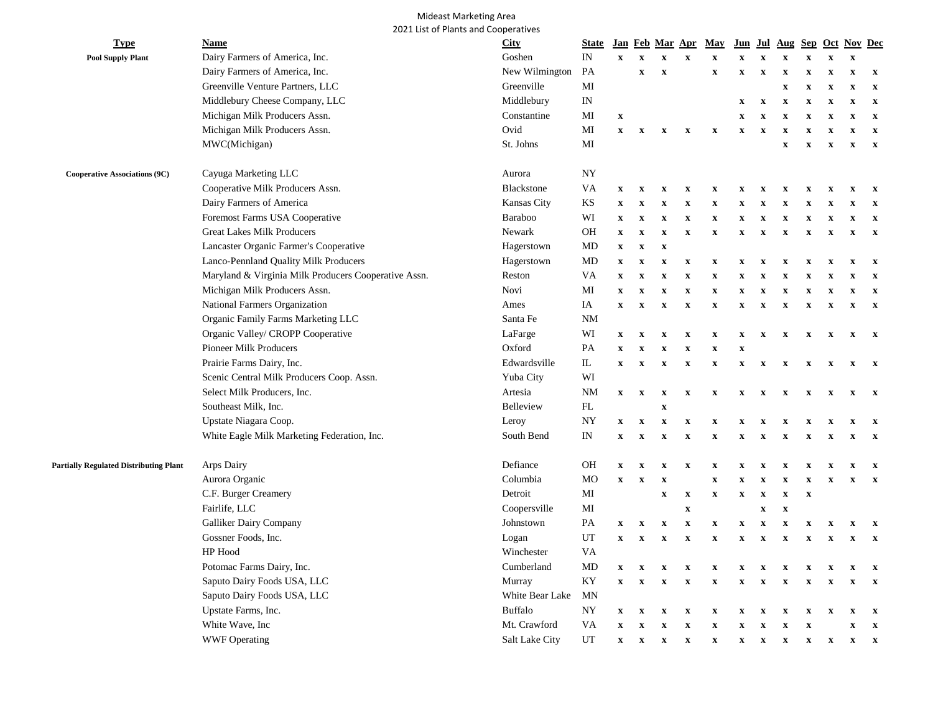## Mideast Marketing Area 2021 List of Plants and Cooperatives

| <b>Type</b>                                   | Name                                                 | <b>City</b>     | <b>State</b>   |                           |                           |                           | Jan Feb Mar Apr           | May                       | Jun                       | Jul                       | Aug                       |                           |                           | Sep Oct Nov Dec           |                           |
|-----------------------------------------------|------------------------------------------------------|-----------------|----------------|---------------------------|---------------------------|---------------------------|---------------------------|---------------------------|---------------------------|---------------------------|---------------------------|---------------------------|---------------------------|---------------------------|---------------------------|
| <b>Pool Supply Plant</b>                      | Dairy Farmers of America, Inc.                       | Goshen          | IN             | $\boldsymbol{\mathrm{X}}$ | $\mathbf x$               | $\mathbf{x}$              | $\mathbf X$               | $\mathbf X$               | $\mathbf x$               | $\mathbf X$               | $\mathbf X$               | $\mathbf x$               | $\mathbf x$               | $\mathbf X$               |                           |
|                                               | Dairy Farmers of America, Inc.                       | New Wilmington  | PA             |                           | $\boldsymbol{\mathrm{X}}$ | $\mathbf X$               |                           | $\boldsymbol{\mathrm{X}}$ | $\mathbf X$               | $\mathbf X$               | $\boldsymbol{\mathrm{X}}$ | $\boldsymbol{\mathrm{X}}$ | $\mathbf X$               | $\mathbf X$               | $\boldsymbol{\mathrm{X}}$ |
|                                               | Greenville Venture Partners, LLC                     | Greenville      | MI             |                           |                           |                           |                           |                           |                           |                           | $\boldsymbol{\mathrm{X}}$ | $\boldsymbol{\mathrm{X}}$ | $\boldsymbol{\mathrm{X}}$ | $\boldsymbol{\mathrm{X}}$ | $\boldsymbol{\mathrm{X}}$ |
|                                               | Middlebury Cheese Company, LLC                       | Middlebury      | IN             |                           |                           |                           |                           |                           | $\mathbf{x}$              | $\mathbf X$               | $\boldsymbol{\mathrm{X}}$ | $\mathbf X$               | $\mathbf X$               | $\boldsymbol{\mathrm{X}}$ | $\mathbf x$               |
|                                               | Michigan Milk Producers Assn.                        | Constantine     | MI             | $\boldsymbol{\mathrm{X}}$ |                           |                           |                           |                           | $\mathbf x$               | $\boldsymbol{\mathrm{X}}$ | $\boldsymbol{\mathrm{X}}$ | $\boldsymbol{\mathrm{X}}$ | $\mathbf X$               | $\boldsymbol{\mathrm{X}}$ | $\mathbf{x}$              |
|                                               | Michigan Milk Producers Assn.                        | Ovid            | MI             | $\boldsymbol{\mathrm{X}}$ | $\mathbf X$               | $\mathbf X$               | $\boldsymbol{\mathrm{X}}$ | $\boldsymbol{\mathrm{X}}$ | $\mathbf X$               | $\mathbf X$               | $\mathbf X$               | $\mathbf X$               | $\mathbf X$               | $\mathbf X$               | $\mathbf X$               |
|                                               | MWC(Michigan)                                        | St. Johns       | MI             |                           |                           |                           |                           |                           |                           |                           | $\boldsymbol{\mathrm{X}}$ | $\boldsymbol{\mathrm{X}}$ | $\mathbf x$               | $\mathbf x$               | $\mathbf{x}$              |
| <b>Cooperative Associations (9C)</b>          | Cayuga Marketing LLC                                 | Aurora          | <b>NY</b>      |                           |                           |                           |                           |                           |                           |                           |                           |                           |                           |                           |                           |
|                                               | Cooperative Milk Producers Assn.                     | Blackstone      | VA             | $\mathbf x$               | x                         | x                         | X                         | X                         | X                         | X                         | X                         | $\mathbf x$               | $\mathbf x$               | X                         | $\mathbf x$               |
|                                               | Dairy Farmers of America                             | Kansas City     | KS             | x                         | x                         | x                         | $\mathbf x$               | X                         | $\mathbf x$               | $\mathbf x$               | x                         | X                         | x                         | x                         | $\mathbf x$               |
|                                               | Foremost Farms USA Cooperative                       | Baraboo         | WI             | $\mathbf x$               | $\mathbf X$               | $\boldsymbol{\mathrm{X}}$ | $\mathbf X$               | $\mathbf X$               | $\boldsymbol{\mathrm{X}}$ | $\boldsymbol{\mathrm{X}}$ | $\boldsymbol{\mathrm{X}}$ | $\boldsymbol{\mathrm{X}}$ | $\mathbf X$               | $\mathbf X$               | $\mathbf x$               |
|                                               | <b>Great Lakes Milk Producers</b>                    | Newark          | <b>OH</b>      | $\mathbf x$               | $\mathbf x$               | $\mathbf X$               | $\mathbf x$               | $\mathbf X$               | $\mathbf x$               | $\boldsymbol{\mathrm{X}}$ | $\boldsymbol{\mathrm{X}}$ | $\boldsymbol{\mathrm{X}}$ | $\mathbf X$               | $\boldsymbol{\mathrm{X}}$ | $\mathbf{x}$              |
|                                               | Lancaster Organic Farmer's Cooperative               | Hagerstown      | MD             | $\boldsymbol{\mathrm{X}}$ | $\mathbf X$               | $\boldsymbol{\mathrm{X}}$ |                           |                           |                           |                           |                           |                           |                           |                           |                           |
|                                               | Lanco-Pennland Quality Milk Producers                | Hagerstown      | MD             | $\mathbf X$               | $\boldsymbol{\mathrm{X}}$ | $\mathbf X$               | $\boldsymbol{\mathrm{X}}$ | $\mathbf x$               | $\boldsymbol{\mathrm{X}}$ | $\boldsymbol{\mathrm{X}}$ | $\boldsymbol{\mathrm{X}}$ | $\mathbf x$               | x                         | $\mathbf X$               | $\mathbf x$               |
|                                               | Maryland & Virginia Milk Producers Cooperative Assn. | Reston          | VA             | $\mathbf X$               | $\boldsymbol{\mathrm{X}}$ | $\boldsymbol{\mathrm{X}}$ | $\boldsymbol{\mathrm{X}}$ | $\boldsymbol{\mathrm{X}}$ | $\boldsymbol{\mathrm{X}}$ | $\boldsymbol{\mathrm{X}}$ | $\boldsymbol{\mathrm{X}}$ | X                         | $\boldsymbol{\mathrm{X}}$ | $\boldsymbol{\mathrm{X}}$ | $\mathbf x$               |
|                                               | Michigan Milk Producers Assn.                        | Novi            | MI             | $\mathbf x$               | $\mathbf X$               | $\mathbf X$               | $\mathbf X$               | $\mathbf x$               | $\mathbf X$               | $\mathbf X$               | $\boldsymbol{\mathrm{X}}$ | $\mathbf X$               | $\mathbf X$               | $\mathbf X$               | $\mathbf x$               |
|                                               | National Farmers Organization                        | Ames            | IA             | $\mathbf X$               | $\boldsymbol{\mathrm{X}}$ | $\mathbf X$               | $\mathbf X$               | $\mathbf x$               | $\mathbf X$               | $\mathbf X$               | $\mathbf X$               | $\mathbf x$               | $\mathbf X$               | $\mathbf X$               | $\mathbf{x}$              |
|                                               | Organic Family Farms Marketing LLC                   | Santa Fe        | <b>NM</b>      |                           |                           |                           |                           |                           |                           |                           |                           |                           |                           |                           |                           |
|                                               | Organic Valley/ CROPP Cooperative                    | LaFarge         | WI             | $\mathbf{x}$              | $\mathbf x$               | $\boldsymbol{\mathrm{X}}$ | $\boldsymbol{\mathrm{X}}$ | $\mathbf X$               | $\boldsymbol{\mathrm{X}}$ | $\boldsymbol{\mathrm{X}}$ | $\boldsymbol{\mathrm{X}}$ | $\boldsymbol{\mathrm{X}}$ | $\boldsymbol{\mathrm{X}}$ | $\boldsymbol{\mathrm{X}}$ | $\mathbf{x}$              |
|                                               | Pioneer Milk Producers                               | Oxford          | PA             | $\boldsymbol{\mathrm{X}}$ | x                         | $\boldsymbol{\mathrm{X}}$ | $\boldsymbol{\mathrm{X}}$ | $\mathbf X$               | $\boldsymbol{\mathrm{X}}$ |                           |                           |                           |                           |                           |                           |
|                                               | Prairie Farms Dairy, Inc.                            | Edwardsville    | IL             | $\mathbf{x}$              | $\mathbf X$               | $\mathbf X$               | $\boldsymbol{\mathrm{X}}$ | $\boldsymbol{\mathrm{X}}$ | $\mathbf X$               | $\mathbf x$               | X                         | $\mathbf x$               | x                         | X                         | $\mathbf{x}$              |
|                                               | Scenic Central Milk Producers Coop. Assn.            | Yuba City       | WI             |                           |                           |                           |                           |                           |                           |                           |                           |                           |                           |                           |                           |
|                                               | Select Milk Producers, Inc.                          | Artesia         | <b>NM</b>      | $\mathbf{X}$              | $\boldsymbol{\mathrm{X}}$ | $\mathbf X$               | $\boldsymbol{\mathrm{X}}$ | $\boldsymbol{\mathrm{X}}$ | $\mathbf X$               | $\mathbf x$               | $\mathbf{x}$              | $\mathbf x$               | $\mathbf x$               | $\mathbf x$               | $\mathbf{x}$              |
|                                               | Southeast Milk, Inc.                                 | Belleview       | FL             |                           |                           | $\mathbf X$               |                           |                           |                           |                           |                           |                           |                           |                           |                           |
|                                               | Upstate Niagara Coop.                                | Leroy           | NY             | $\mathbf{x}$              | $\mathbf X$               | $\mathbf X$               | $\mathbf X$               | $\mathbf X$               | $\mathbf x$               | x                         | X                         | $\mathbf x$               | X                         | $\boldsymbol{\mathrm{X}}$ | $\mathbf{x}$              |
|                                               | White Eagle Milk Marketing Federation, Inc.          | South Bend      | IN             | $\mathbf x$               | $\boldsymbol{\mathrm{X}}$ | $\boldsymbol{\mathrm{X}}$ | $\boldsymbol{\mathrm{X}}$ | X                         | $\mathbf x$               | $\boldsymbol{\mathrm{X}}$ | $\boldsymbol{\mathrm{X}}$ | $\mathbf x$               | x                         | $\mathbf X$               | $\mathbf{x}$              |
| <b>Partially Regulated Distributing Plant</b> | Arps Dairy                                           | Defiance        | <b>OH</b>      | $\boldsymbol{\mathrm{X}}$ | $\mathbf X$               | x                         | $\boldsymbol{\mathrm{X}}$ | $\mathbf X$               | $\mathbf X$               | x                         | X                         | X                         | X                         | x                         | $\mathbf{x}$              |
|                                               | Aurora Organic                                       | Columbia        | M <sub>O</sub> | $\boldsymbol{\mathrm{X}}$ | $\boldsymbol{\mathrm{X}}$ | $\mathbf X$               |                           | $\mathbf X$               | $\mathbf X$               | $\mathbf X$               | $\mathbf X$               | $\mathbf X$               | $\boldsymbol{\mathrm{X}}$ | $\mathbf X$               | $\boldsymbol{\mathrm{X}}$ |
|                                               | C.F. Burger Creamery                                 | Detroit         | MI             |                           |                           | $\mathbf x$               | $\mathbf x$               | $\mathbf X$               | $\mathbf X$               | $\mathbf X$               | $\boldsymbol{\mathrm{X}}$ | $\boldsymbol{\mathrm{X}}$ |                           |                           |                           |
|                                               | Fairlife, LLC                                        | Coopersville    | MI             |                           |                           |                           | $\mathbf x$               |                           |                           | $\mathbf X$               | $\boldsymbol{\mathrm{X}}$ |                           |                           |                           |                           |
|                                               | Galliker Dairy Company                               | Johnstown       | PA             | $\mathbf{x}$              | $\boldsymbol{\mathrm{X}}$ | $\mathbf X$               | X                         | $\mathbf X$               | $\boldsymbol{\mathrm{X}}$ | X                         | X                         | X                         | X                         | x                         | X                         |
|                                               | Gossner Foods, Inc.                                  | Logan           | UT             | $\mathbf X$               | $\mathbf x$               | $\mathbf x$               | $\mathbf x$               | $\mathbf X$               | $\mathbf X$               | $\mathbf X$               | $\boldsymbol{\mathrm{X}}$ | $\boldsymbol{\mathrm{X}}$ | $\mathbf x$               | $\boldsymbol{\mathrm{X}}$ | $\mathbf x$               |
|                                               | HP Hood                                              | Winchester      | VA             |                           |                           |                           |                           |                           |                           |                           |                           |                           |                           |                           |                           |
|                                               | Potomac Farms Dairy, Inc.                            | Cumberland      | MD             | $\mathbf X$               | $\mathbf x$               | $\mathbf X$               | $\mathbf X$               | $\mathbf X$               | $\mathbf x$               | $\mathbf x$               | $\mathbf x$               | X                         | $\mathbf x$               | $\mathbf x$               | $\mathbf{x}$              |
|                                               | Saputo Dairy Foods USA, LLC                          | Murray          | KY             | $\mathbf{x}$              | $\boldsymbol{\mathrm{X}}$ | $\boldsymbol{\mathrm{X}}$ | $\boldsymbol{\mathrm{X}}$ | $\boldsymbol{\mathrm{X}}$ | $\mathbf X$               | $\boldsymbol{\mathrm{X}}$ | $\mathbf{x}$              | $\boldsymbol{\mathrm{X}}$ | $\mathbf x$               | $\boldsymbol{\mathrm{X}}$ | $\mathbf{x}$              |
|                                               | Saputo Dairy Foods USA, LLC                          | White Bear Lake | <b>MN</b>      |                           |                           |                           |                           |                           |                           |                           |                           |                           |                           |                           |                           |
|                                               | Upstate Farms, Inc.                                  | <b>Buffalo</b>  | NY             | $\mathbf x$               | $\boldsymbol{\mathrm{X}}$ | $\boldsymbol{\mathrm{X}}$ | $\boldsymbol{\mathrm{X}}$ | $\mathbf X$               | X                         | $\boldsymbol{\mathrm{X}}$ | X                         | X                         | x                         | $\boldsymbol{\mathrm{X}}$ | $\mathbf x$               |
|                                               | White Wave, Inc                                      | Mt. Crawford    | VA             | $\boldsymbol{\mathrm{X}}$ | $\mathbf x$               | $\boldsymbol{\mathrm{X}}$ | $\mathbf x$               | $\mathbf X$               | $\mathbf x$               | $\boldsymbol{\mathrm{X}}$ | $\boldsymbol{\mathrm{X}}$ | $\mathbf X$               |                           | $\boldsymbol{\mathrm{X}}$ | $\mathbf{x}$              |
|                                               | <b>WWF Operating</b>                                 | Salt Lake City  | UT             | $\boldsymbol{\mathrm{X}}$ | $\mathbf x$               | $\mathbf x$               | $\mathbf X$               | $\boldsymbol{\mathrm{X}}$ | $\mathbf X$               | $\boldsymbol{\mathrm{X}}$ | $\boldsymbol{\mathrm{X}}$ | $\boldsymbol{\mathrm{X}}$ | $\boldsymbol{\mathrm{X}}$ | $\boldsymbol{\mathrm{X}}$ | $\boldsymbol{\mathrm{x}}$ |